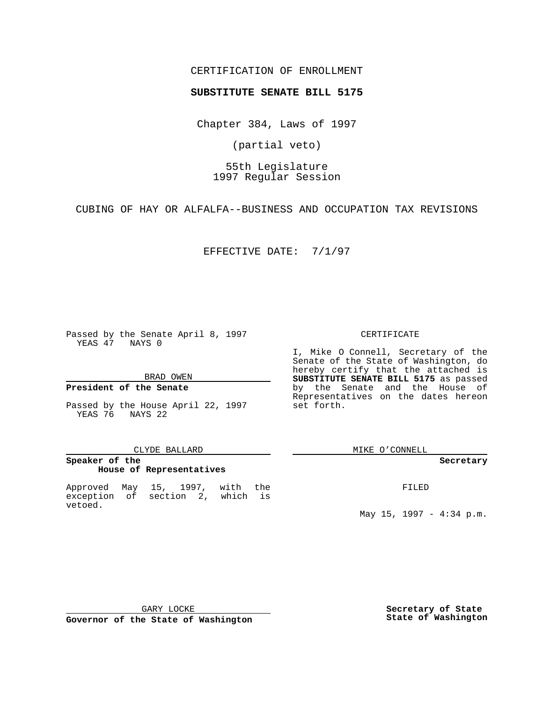## CERTIFICATION OF ENROLLMENT

# **SUBSTITUTE SENATE BILL 5175**

Chapter 384, Laws of 1997

(partial veto)

55th Legislature 1997 Regular Session

CUBING OF HAY OR ALFALFA--BUSINESS AND OCCUPATION TAX REVISIONS

EFFECTIVE DATE: 7/1/97

Passed by the Senate April 8, 1997 YEAS 47 NAYS 0

### BRAD OWEN

## **President of the Senate**

Passed by the House April 22, 1997 YEAS 76 NAYS 22

#### CLYDE BALLARD

## **Speaker of the House of Representatives**

Approved May 15, 1997, with the exception of section 2, which is vetoed.

### CERTIFICATE

I, Mike O Connell, Secretary of the Senate of the State of Washington, do hereby certify that the attached is **SUBSTITUTE SENATE BILL 5175** as passed by the Senate and the House of Representatives on the dates hereon set forth.

MIKE O'CONNELL

#### **Secretary**

FILED

May 15, 1997 - 4:34 p.m.

GARY LOCKE

**Governor of the State of Washington**

**Secretary of State State of Washington**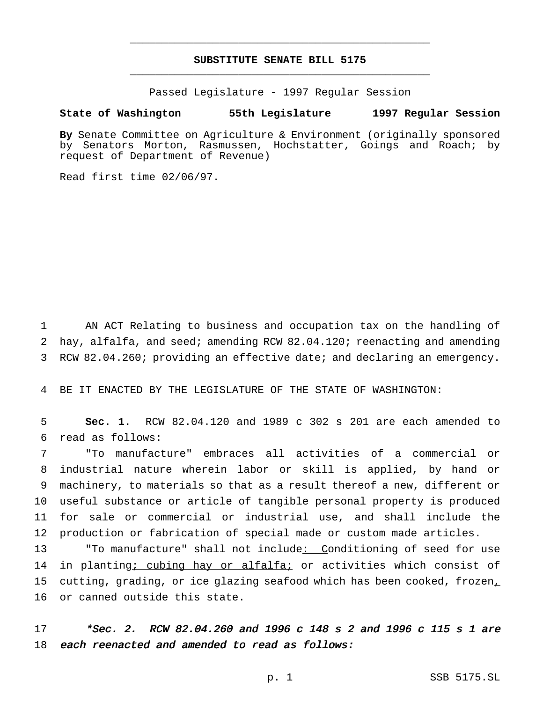# **SUBSTITUTE SENATE BILL 5175** \_\_\_\_\_\_\_\_\_\_\_\_\_\_\_\_\_\_\_\_\_\_\_\_\_\_\_\_\_\_\_\_\_\_\_\_\_\_\_\_\_\_\_\_\_\_\_

\_\_\_\_\_\_\_\_\_\_\_\_\_\_\_\_\_\_\_\_\_\_\_\_\_\_\_\_\_\_\_\_\_\_\_\_\_\_\_\_\_\_\_\_\_\_\_

Passed Legislature - 1997 Regular Session

### **State of Washington 55th Legislature 1997 Regular Session**

**By** Senate Committee on Agriculture & Environment (originally sponsored by Senators Morton, Rasmussen, Hochstatter, Goings and Roach; by request of Department of Revenue)

Read first time 02/06/97.

1 AN ACT Relating to business and occupation tax on the handling of 2 hay, alfalfa, and seed; amending RCW 82.04.120; reenacting and amending 3 RCW 82.04.260; providing an effective date; and declaring an emergency.

4 BE IT ENACTED BY THE LEGISLATURE OF THE STATE OF WASHINGTON:

5 **Sec. 1.** RCW 82.04.120 and 1989 c 302 s 201 are each amended to 6 read as follows:

 "To manufacture" embraces all activities of a commercial or industrial nature wherein labor or skill is applied, by hand or machinery, to materials so that as a result thereof a new, different or useful substance or article of tangible personal property is produced for sale or commercial or industrial use, and shall include the production or fabrication of special made or custom made articles.

13 "To manufacture" shall not include: Conditioning of seed for use 14 in planting; cubing hay or alfalfa; or activities which consist of 15 cutting, grading, or ice glazing seafood which has been cooked, frozen, 16 or canned outside this state.

17 \*Sec. 2. RCW 82.04.260 and <sup>1996</sup> <sup>c</sup> <sup>148</sup> <sup>s</sup> <sup>2</sup> and <sup>1996</sup> <sup>c</sup> <sup>115</sup> <sup>s</sup> <sup>1</sup> are 18 each reenacted and amended to read as follows: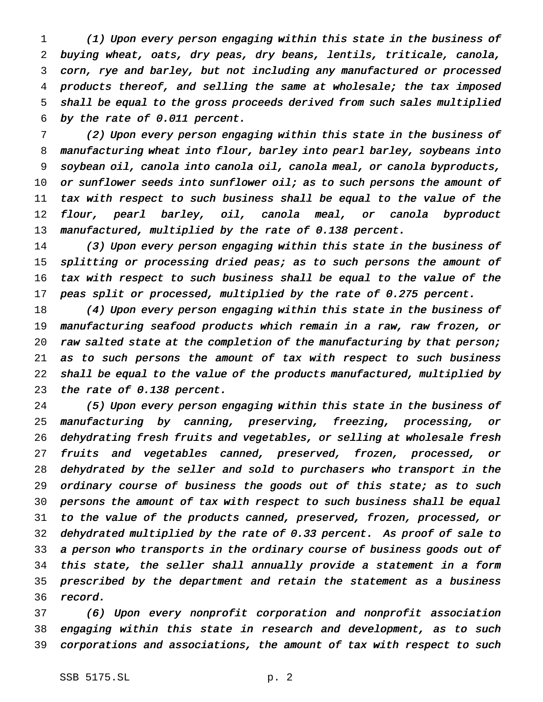(1) Upon every person engaging within this state in the business of buying wheat, oats, dry peas, dry beans, lentils, triticale, canola, corn, rye and barley, but not including any manufactured or processed products thereof, and selling the same at wholesale; the tax imposed shall be equal to the gross proceeds derived from such sales multiplied by the rate of 0.011 percent.

 (2) Upon every person engaging within this state in the business of manufacturing wheat into flour, barley into pearl barley, soybeans into soybean oil, canola into canola oil, canola meal, or canola byproducts, 10 or sunflower seeds into sunflower oil; as to such persons the amount of tax with respect to such business shall be equal to the value of the 12 flour, pearl barley, oil, canola meal, or canola byproduct manufactured, multiplied by the rate of 0.138 percent.

 (3) Upon every person engaging within this state in the business of 15 splitting or processing dried peas; as to such persons the amount of tax with respect to such business shall be equal to the value of the 17 peas split or processed, multiplied by the rate of 0.275 percent.

18 (4) Upon every person engaging within this state in the business of manufacturing seafood products which remain in <sup>a</sup> raw, raw frozen, or 20 raw salted state at the completion of the manufacturing by that person; as to such persons the amount of tax with respect to such business shall be equal to the value of the products manufactured, multiplied by the rate of 0.138 percent.

 (5) Upon every person engaging within this state in the business of manufacturing by canning, preserving, freezing, processing, or dehydrating fresh fruits and vegetables, or selling at wholesale fresh fruits and vegetables canned, preserved, frozen, processed, or dehydrated by the seller and sold to purchasers who transport in the ordinary course of business the goods out of this state; as to such persons the amount of tax with respect to such business shall be equal to the value of the products canned, preserved, frozen, processed, or dehydrated multiplied by the rate of 0.33 percent. As proof of sale to <sup>a</sup> person who transports in the ordinary course of business goods out of this state, the seller shall annually provide <sup>a</sup> statement in <sup>a</sup> form prescribed by the department and retain the statement as <sup>a</sup> business 36 record.

 (6) Upon every nonprofit corporation and nonprofit association engaging within this state in research and development, as to such corporations and associations, the amount of tax with respect to such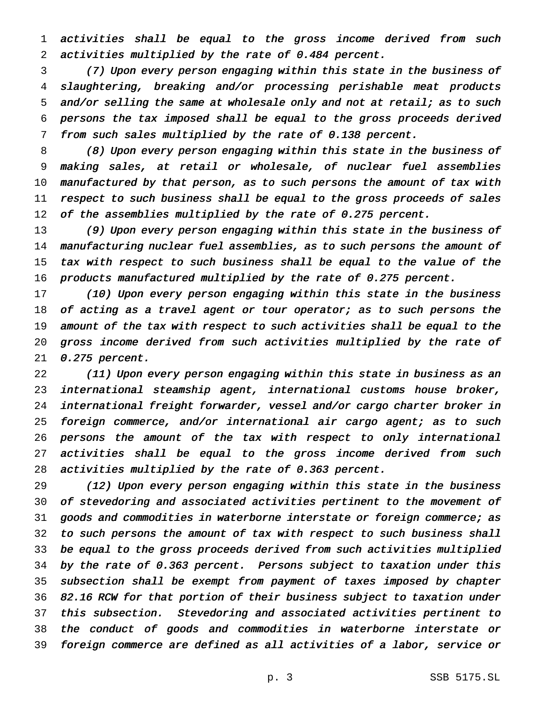activities shall be equal to the gross income derived from such activities multiplied by the rate of 0.484 percent.

 (7) Upon every person engaging within this state in the business of slaughtering, breaking and/or processing perishable meat products 5 and/or selling the same at wholesale only and not at retail; as to such persons the tax imposed shall be equal to the gross proceeds derived from such sales multiplied by the rate of 0.138 percent.

 (8) Upon every person engaging within this state in the business of making sales, at retail or wholesale, of nuclear fuel assemblies manufactured by that person, as to such persons the amount of tax with respect to such business shall be equal to the gross proceeds of sales 12 of the assemblies multiplied by the rate of 0.275 percent.

 (9) Upon every person engaging within this state in the business of manufacturing nuclear fuel assemblies, as to such persons the amount of tax with respect to such business shall be equal to the value of the products manufactured multiplied by the rate of 0.275 percent.

 (10) Upon every person engaging within this state in the business 18 of acting as a travel agent or tour operator; as to such persons the amount of the tax with respect to such activities shall be equal to the gross income derived from such activities multiplied by the rate of 0.275 percent.

 (11) Upon every person engaging within this state in business as an international steamship agent, international customs house broker, international freight forwarder, vessel and/or cargo charter broker in 25 foreign commerce, and/or international air cargo agent; as to such persons the amount of the tax with respect to only international 27 activities shall be equal to the gross income derived from such activities multiplied by the rate of 0.363 percent.

 (12) Upon every person engaging within this state in the business of stevedoring and associated activities pertinent to the movement of goods and commodities in waterborne interstate or foreign commerce; as to such persons the amount of tax with respect to such business shall be equal to the gross proceeds derived from such activities multiplied by the rate of 0.363 percent. Persons subject to taxation under this subsection shall be exempt from payment of taxes imposed by chapter 82.16 RCW for that portion of their business subject to taxation under this subsection. Stevedoring and associated activities pertinent to the conduct of goods and commodities in waterborne interstate or foreign commerce are defined as all activities of <sup>a</sup> labor, service or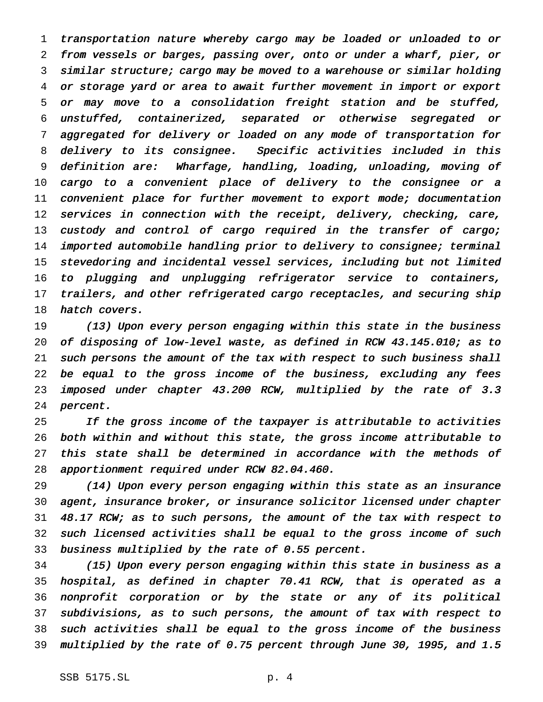transportation nature whereby cargo may be loaded or unloaded to or from vessels or barges, passing over, onto or under <sup>a</sup> wharf, pier, or similar structure; cargo may be moved to <sup>a</sup> warehouse or similar holding or storage yard or area to await further movement in import or export or may move to <sup>a</sup> consolidation freight station and be stuffed, unstuffed, containerized, separated or otherwise segregated or aggregated for delivery or loaded on any mode of transportation for delivery to its consignee. Specific activities included in this definition are: Wharfage, handling, loading, unloading, moving of cargo to <sup>a</sup> convenient place of delivery to the consignee or <sup>a</sup> 11 convenient place for further movement to export mode; documentation services in connection with the receipt, delivery, checking, care, 13 custody and control of cargo required in the transfer of cargo; imported automobile handling prior to delivery to consignee; terminal stevedoring and incidental vessel services, including but not limited to plugging and unplugging refrigerator service to containers, trailers, and other refrigerated cargo receptacles, and securing ship 18 hatch covers.

 (13) Upon every person engaging within this state in the business of disposing of low-level waste, as defined in RCW 43.145.010; as to such persons the amount of the tax with respect to such business shall be equal to the gross income of the business, excluding any fees imposed under chapter 43.200 RCW, multiplied by the rate of 3.3 percent.

25 If the gross income of the taxpayer is attributable to activities both within and without this state, the gross income attributable to this state shall be determined in accordance with the methods of apportionment required under RCW 82.04.460.

 (14) Upon every person engaging within this state as an insurance agent, insurance broker, or insurance solicitor licensed under chapter 48.17 RCW; as to such persons, the amount of the tax with respect to such licensed activities shall be equal to the gross income of such business multiplied by the rate of 0.55 percent.

 (15) Upon every person engaging within this state in business as <sup>a</sup> hospital, as defined in chapter 70.41 RCW, that is operated as <sup>a</sup> nonprofit corporation or by the state or any of its political subdivisions, as to such persons, the amount of tax with respect to such activities shall be equal to the gross income of the business multiplied by the rate of 0.75 percent through June 30, 1995, and 1.5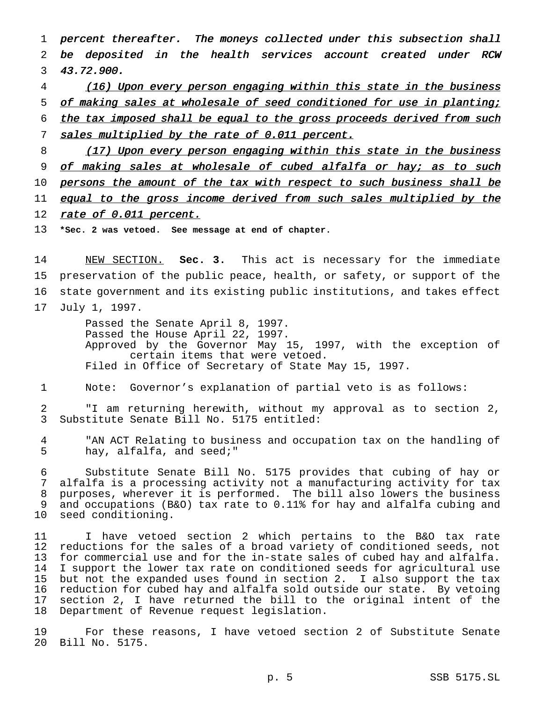percent thereafter. The moneys collected under this subsection shall be deposited in the health services account created under RCW 43.72.900.

 (16) Upon every person engaging within this state in the business of making sales at wholesale of seed conditioned for use in planting; 6 the tax imposed shall be equal to the gross proceeds derived from such 7 sales multiplied by the rate of 0.011 percent.

8 (17) Upon every person engaging within this state in the business 9 of making sales at wholesale of cubed alfalfa or hay; as to such 10 persons the amount of the tax with respect to such business shall be 11 equal to the gross income derived from such sales multiplied by the 12 rate of 0.011 percent.

**\*Sec. 2 was vetoed. See message at end of chapter.**

 NEW SECTION. **Sec. 3.** This act is necessary for the immediate preservation of the public peace, health, or safety, or support of the state government and its existing public institutions, and takes effect July 1, 1997.

> Passed the Senate April 8, 1997. Passed the House April 22, 1997. Approved by the Governor May 15, 1997, with the exception of certain items that were vetoed. Filed in Office of Secretary of State May 15, 1997.

Note: Governor's explanation of partial veto is as follows:

 "I am returning herewith, without my approval as to section 2, Substitute Senate Bill No. 5175 entitled:

 "AN ACT Relating to business and occupation tax on the handling of hay, alfalfa, and seed;"

 Substitute Senate Bill No. 5175 provides that cubing of hay or alfalfa is a processing activity not a manufacturing activity for tax purposes, wherever it is performed. The bill also lowers the business and occupations (B&O) tax rate to 0.11% for hay and alfalfa cubing and seed conditioning.

 I have vetoed section 2 which pertains to the B&O tax rate reductions for the sales of a broad variety of conditioned seeds, not 13 for commercial use and for the in-state sales of cubed hay and alfalfa.<br>14 I support the lower tax rate on conditioned seeds for agricultural use I support the lower tax rate on conditioned seeds for agricultural use but not the expanded uses found in section 2. I also support the tax reduction for cubed hay and alfalfa sold outside our state. By vetoing section 2, I have returned the bill to the original intent of the Department of Revenue request legislation.

 For these reasons, I have vetoed section 2 of Substitute Senate Bill No. 5175.